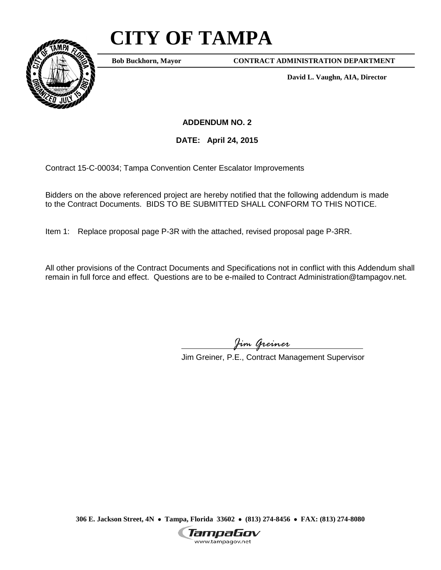## **CITY OF TAMPA**



**Bob Buckhorn, Mayor**

**CONTRACT ADMINISTRATION DEPARTMENT**

**David L. Vaughn, AIA, Director**

**ADDENDUM NO. 2**

**DATE: April 24, 2015**

Contract 15-C-00034; Tampa Convention Center Escalator Improvements

Bidders on the above referenced project are hereby notified that the following addendum is made to the Contract Documents. BIDS TO BE SUBMITTED SHALL CONFORM TO THIS NOTICE.

Item 1: Replace proposal page P-3R with the attached, revised proposal page P-3RR.

All other provisions of the Contract Documents and Specifications not in conflict with this Addendum shall remain in full force and effect. Questions are to be e-mailed to Contract Administration@tampagov.net.

*Jim Greiner*

Jim Greiner, P.E., Contract Management Supervisor

**306 E. Jackson Street, 4N** • **Tampa, Florida 33602** • **(813) 274-8456** • **FAX: (813) 274-8080**